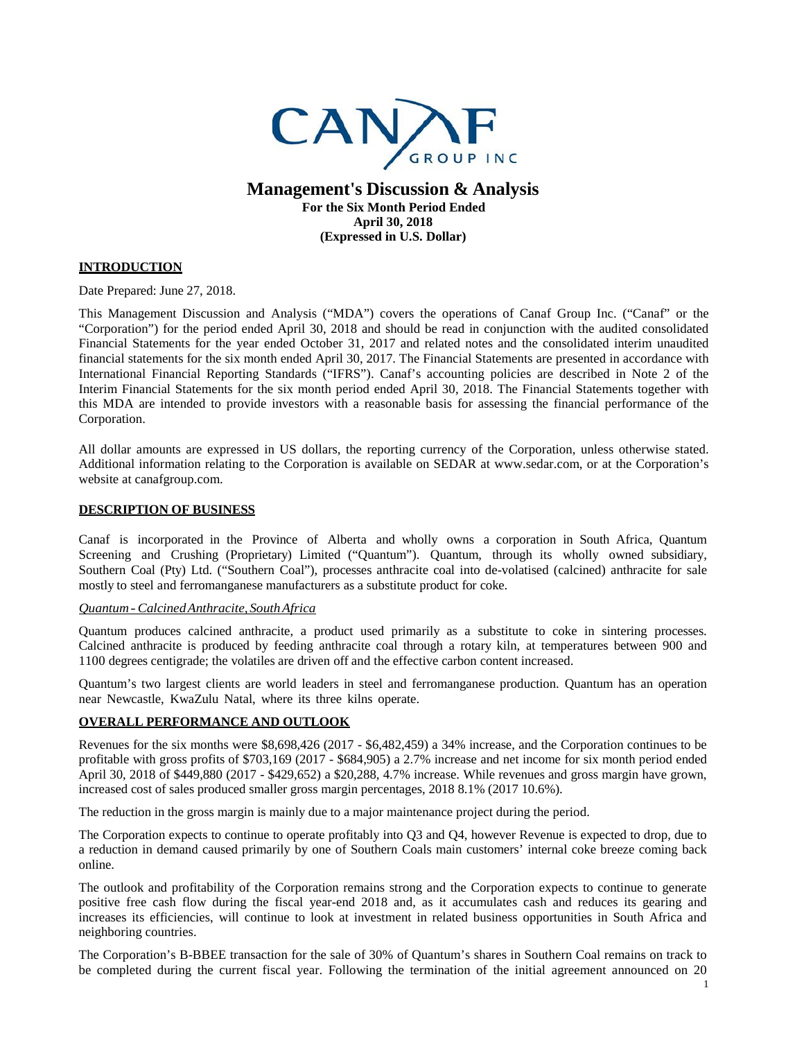

# **Management's Discussion & Analysis For the Six Month Period Ended April 30, 2018 (Expressed in U.S. Dollar)**

# **INTRODUCTION**

Date Prepared: June 27, 2018.

This Management Discussion and Analysis ("MDA") covers the operations of Canaf Group Inc. ("Canaf" or the "Corporation") for the period ended April 30, 2018 and should be read in conjunction with the audited consolidated Financial Statements for the year ended October 31, 2017 and related notes and the consolidated interim unaudited financial statements for the six month ended April 30, 2017. The Financial Statements are presented in accordance with International Financial Reporting Standards ("IFRS"). Canaf's accounting policies are described in Note 2 of the Interim Financial Statements for the six month period ended April 30, 2018. The Financial Statements together with this MDA are intended to provide investors with a reasonable basis for assessing the financial performance of the Corporation.

All dollar amounts are expressed in US dollars, the reporting currency of the Corporation, unless otherwise stated. Additional information relating to the Corporation is available on SEDAR at www.sedar.com, or at the Corporation's website at canafgroup.com.

### **DESCRIPTION OF BUSINESS**

Canaf is incorporated in the Province of Alberta and wholly owns a corporation in South Africa, Quantum Screening and Crushing (Proprietary) Limited ("Quantum"). Quantum, through its wholly owned subsidiary, Southern Coal (Pty) Ltd. ("Southern Coal"), processes anthracite coal into de-volatised (calcined) anthracite for sale mostly to steel and ferromanganese manufacturers as a substitute product for coke.

#### *Quantum-CalcinedAnthracite, SouthAfrica*

Quantum produces calcined anthracite, a product used primarily as a substitute to coke in sintering processes. Calcined anthracite is produced by feeding anthracite coal through a rotary kiln, at temperatures between 900 and 1100 degrees centigrade; the volatiles are driven off and the effective carbon content increased.

Quantum's two largest clients are world leaders in steel and ferromanganese production. Quantum has an operation near Newcastle, KwaZulu Natal, where its three kilns operate.

## **OVERALL PERFORMANCE AND OUTLOOK**

Revenues for the six months were \$8,698,426 (2017 - \$6,482,459) a 34% increase, and the Corporation continues to be profitable with gross profits of \$703,169 (2017 - \$684,905) a 2.7% increase and net income for six month period ended April 30, 2018 of \$449,880 (2017 - \$429,652) a \$20,288, 4.7% increase. While revenues and gross margin have grown, increased cost of sales produced smaller gross margin percentages, 2018 8.1% (2017 10.6%).

The reduction in the gross margin is mainly due to a major maintenance project during the period.

The Corporation expects to continue to operate profitably into Q3 and Q4, however Revenue is expected to drop, due to a reduction in demand caused primarily by one of Southern Coals main customers' internal coke breeze coming back online.

The outlook and profitability of the Corporation remains strong and the Corporation expects to continue to generate positive free cash flow during the fiscal year-end 2018 and, as it accumulates cash and reduces its gearing and increases its efficiencies, will continue to look at investment in related business opportunities in South Africa and neighboring countries.

The Corporation's B-BBEE transaction for the sale of 30% of Quantum's shares in Southern Coal remains on track to be completed during the current fiscal year. Following the termination of the initial agreement announced on 20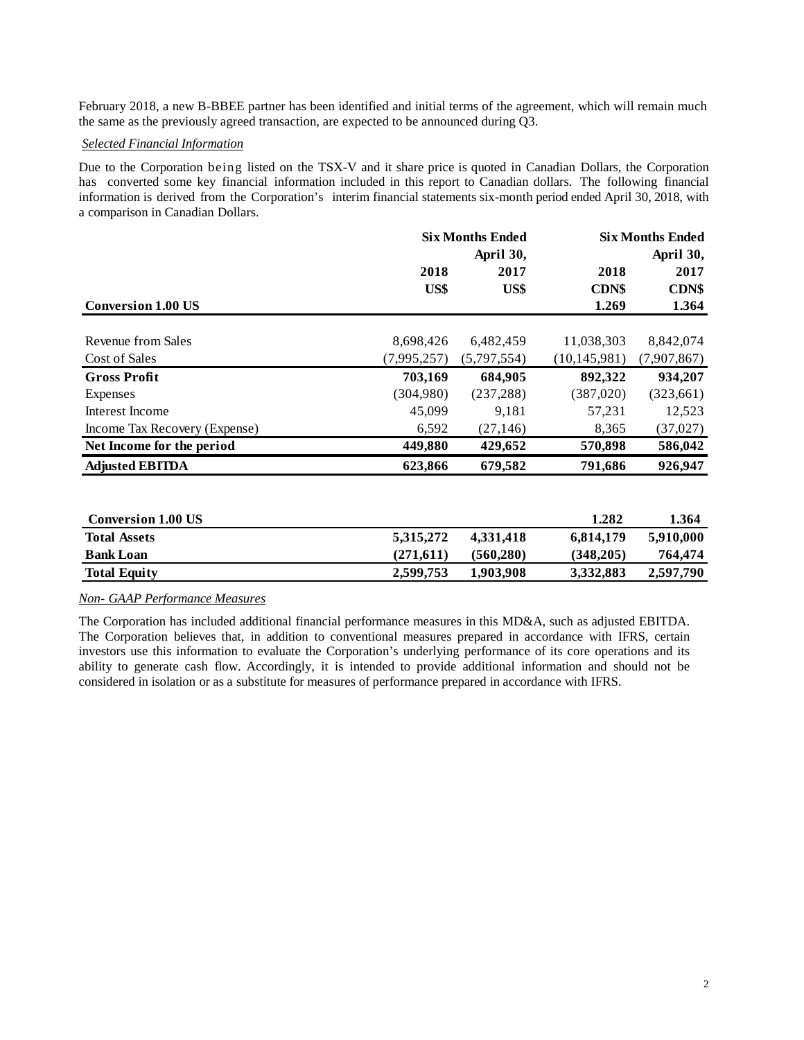February 2018, a new B-BBEE partner has been identified and initial terms of the agreement, which will remain much the same as the previously agreed transaction, are expected to be announced during Q3.

### *Selected Financial Information*

Due to the Corporation being listed on the TSX-V and it share price is quoted in Canadian Dollars, the Corporation has converted some key financial information included in this report to Canadian dollars. The following financial information is derived from the Corporation's interim financial statements six-month period ended April 30, 2018, with a comparison in Canadian Dollars.

|                               | <b>Six Months Ended</b> |             | <b>Six Months Ended</b> |              |  |  |
|-------------------------------|-------------------------|-------------|-------------------------|--------------|--|--|
|                               | April 30,               |             |                         | April 30,    |  |  |
|                               | 2018                    | 2017        | 2018                    | 2017         |  |  |
|                               | US\$                    | US\$        | <b>CDN\$</b>            | <b>CDN\$</b> |  |  |
| <b>Conversion 1.00 US</b>     |                         |             | 1.269                   | 1.364        |  |  |
| Revenue from Sales            | 8,698,426               | 6,482,459   | 11,038,303              | 8,842,074    |  |  |
| Cost of Sales                 | (7,995,257)             | (5,797,554) | (10, 145, 981)          | (7,907,867)  |  |  |
| <b>Gross Profit</b>           | 703,169                 | 684,905     | 892,322                 | 934,207      |  |  |
| Expenses                      | (304,980)               | (237, 288)  | (387,020)               | (323,661)    |  |  |
| Interest Income               | 45,099                  | 9.181       | 57,231                  | 12,523       |  |  |
| Income Tax Recovery (Expense) | 6,592                   | (27, 146)   | 8,365                   | (37, 027)    |  |  |
| Net Income for the period     | 449,880                 | 429,652     | 570,898                 | 586,042      |  |  |
| <b>Adjusted EBITDA</b>        | 623,866                 | 679,582     | 791,686                 | 926,947      |  |  |

| <b>Conversion 1.00 US</b> |           |           | 1.282     | 1.364     |
|---------------------------|-----------|-----------|-----------|-----------|
| <b>Total Assets</b>       | 5.315.272 | 4.331.418 | 6.814.179 | 5.910.000 |
| <b>Bank Loan</b>          | (271.611) | (560.280) | (348.205) | 764,474   |
| <b>Total Equity</b>       | 2.599.753 | 1.903.908 | 3.332.883 | 2,597,790 |

## *Non- GAAP Performance Measures*

The Corporation has included additional financial performance measures in this MD&A, such as adjusted EBITDA. The Corporation believes that, in addition to conventional measures prepared in accordance with IFRS, certain investors use this information to evaluate the Corporation's underlying performance of its core operations and its ability to generate cash flow. Accordingly, it is intended to provide additional information and should not be considered in isolation or as a substitute for measures of performance prepared in accordance with IFRS.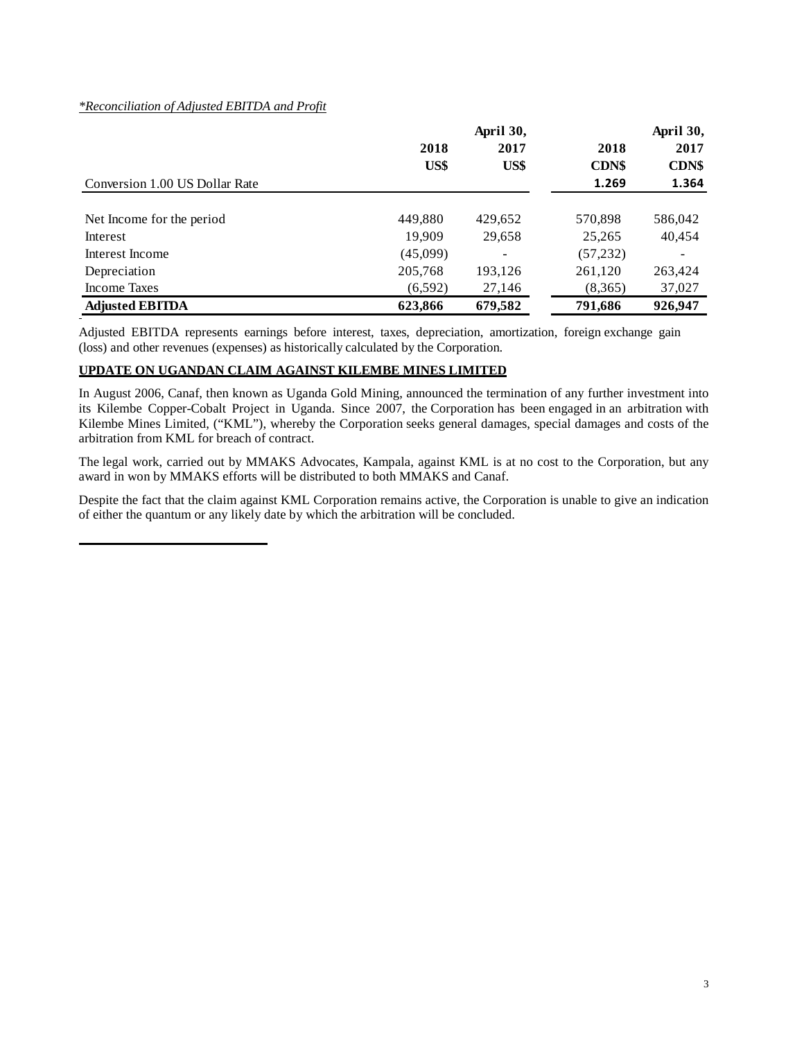# *\*Reconciliation of Adjusted EBITDA and Profit*

|                                |          |         | April 30,    |         |
|--------------------------------|----------|---------|--------------|---------|
|                                | 2018     | 2017    | 2018         | 2017    |
|                                | US\$     | US\$    | <b>CDN\$</b> | CDN\$   |
| Conversion 1.00 US Dollar Rate |          |         | 1.269        | 1.364   |
|                                |          |         |              |         |
| Net Income for the period      | 449,880  | 429,652 | 570,898      | 586,042 |
| Interest                       | 19,909   | 29,658  | 25,265       | 40,454  |
| Interest Income                | (45,099) |         | (57, 232)    |         |
| Depreciation                   | 205,768  | 193,126 | 261,120      | 263,424 |
| Income Taxes                   | (6, 592) | 27,146  | (8,365)      | 37,027  |
| <b>Adjusted EBITDA</b>         | 623,866  | 679,582 | 791,686      | 926,947 |

Adjusted EBITDA represents earnings before interest, taxes, depreciation, amortization, foreign exchange gain (loss) and other revenues (expenses) as historically calculated by the Corporation.

# **UPDATE ON UGANDAN CLAIM AGAINST KILEMBE MINES LIMITED**

In August 2006, Canaf, then known as Uganda Gold Mining, announced the termination of any further investment into its Kilembe Copper-Cobalt Project in Uganda. Since 2007, the Corporation has been engaged in an arbitration with Kilembe Mines Limited, ("KML"), whereby the Corporation seeks general damages, special damages and costs of the arbitration from KML for breach of contract.

The legal work, carried out by MMAKS Advocates, Kampala, against KML is at no cost to the Corporation, but any award in won by MMAKS efforts will be distributed to both MMAKS and Canaf.

Despite the fact that the claim against KML Corporation remains active, the Corporation is unable to give an indication of either the quantum or any likely date by which the arbitration will be concluded.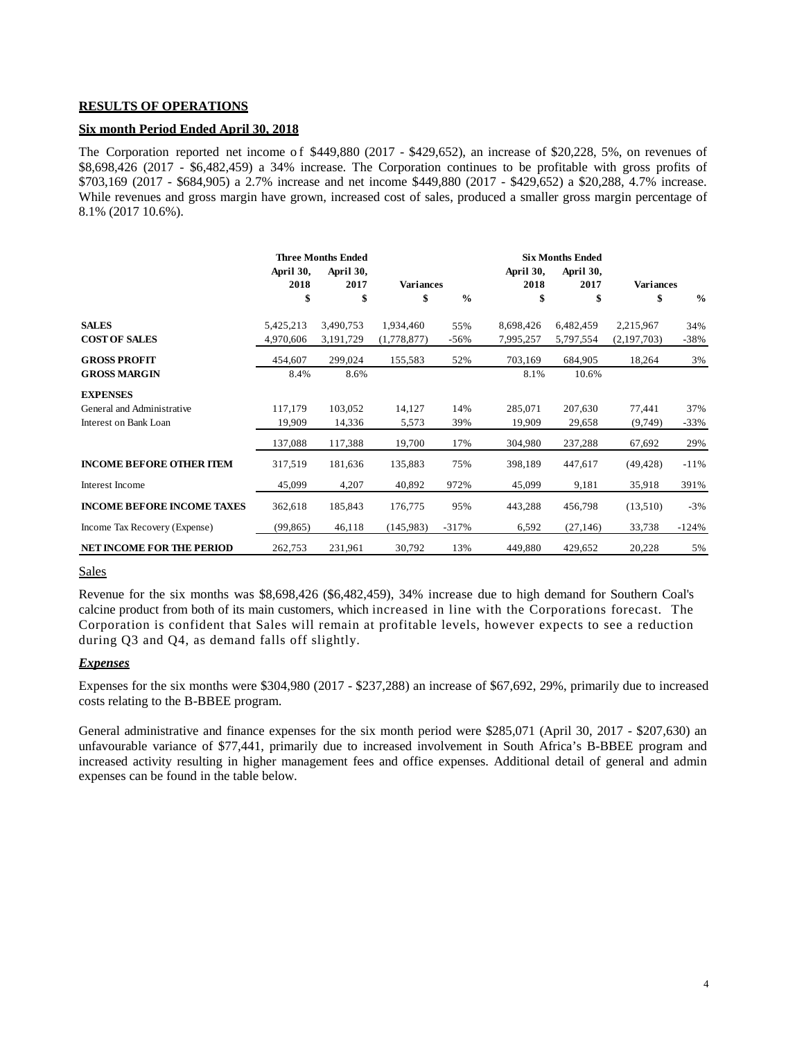#### **RESULTS OF OPERATIONS**

### **Six month Period Ended April 30, 2018**

The Corporation reported net income of \$449,880 (2017 - \$429,652), an increase of \$20,228, 5%, on revenues of \$8,698,426 (2017 - \$6,482,459) a 34% increase. The Corporation continues to be profitable with gross profits of \$703,169 (2017 - \$684,905) a 2.7% increase and net income \$449,880 (2017 - \$429,652) a \$20,288, 4.7% increase. While revenues and gross margin have grown, increased cost of sales, produced a smaller gross margin percentage of 8.1% (2017 10.6%).

|                                   |           | <b>Three Months Ended</b> |                  |               |           | <b>Six Months Ended</b> |                  |               |
|-----------------------------------|-----------|---------------------------|------------------|---------------|-----------|-------------------------|------------------|---------------|
|                                   | April 30, | April 30,                 |                  |               | April 30, | April 30,               |                  |               |
|                                   | 2018      | 2017                      | <b>Variances</b> |               | 2018      | 2017                    | <b>Variances</b> |               |
|                                   | \$        | \$                        | \$               | $\frac{0}{0}$ | \$        | \$                      | \$               | $\frac{0}{0}$ |
| <b>SALES</b>                      | 5,425,213 | 3,490,753                 | 1,934,460        | 55%           | 8,698,426 | 6,482,459               | 2,215,967        | 34%           |
| <b>COST OF SALES</b>              | 4,970,606 | 3,191,729                 | (1,778,877)      | $-56%$        | 7,995,257 | 5,797,554               | (2,197,703)      | $-38%$        |
| <b>GROSS PROFIT</b>               | 454,607   | 299,024                   | 155,583          | 52%           | 703,169   | 684,905                 | 18,264           | 3%            |
| <b>GROSS MARGIN</b>               | 8.4%      | 8.6%                      |                  |               | 8.1%      | 10.6%                   |                  |               |
| <b>EXPENSES</b>                   |           |                           |                  |               |           |                         |                  |               |
| General and Administrative        | 117,179   | 103,052                   | 14,127           | 14%           | 285,071   | 207,630                 | 77,441           | 37%           |
| Interest on Bank Loan             | 19,909    | 14,336                    | 5,573            | 39%           | 19,909    | 29,658                  | (9,749)          | $-33%$        |
|                                   | 137,088   | 117,388                   | 19,700           | 17%           | 304,980   | 237,288                 | 67,692           | 29%           |
| <b>INCOME BEFORE OTHER ITEM</b>   | 317,519   | 181,636                   | 135,883          | 75%           | 398,189   | 447,617                 | (49, 428)        | $-11\%$       |
| Interest Income                   | 45,099    | 4,207                     | 40,892           | 972%          | 45,099    | 9,181                   | 35,918           | 391%          |
| <b>INCOME BEFORE INCOME TAXES</b> | 362,618   | 185,843                   | 176,775          | 95%           | 443,288   | 456,798                 | (13,510)         | $-3%$         |
| Income Tax Recovery (Expense)     | (99, 865) | 46,118                    | (145,983)        | $-317%$       | 6,592     | (27, 146)               | 33,738           | $-124%$       |
| <b>NET INCOME FOR THE PERIOD</b>  | 262,753   | 231,961                   | 30,792           | 13%           | 449,880   | 429,652                 | 20,228           | 5%            |

#### **Sales**

Revenue for the six months was \$8,698,426 (\$6,482,459), 34% increase due to high demand for Southern Coal's calcine product from both of its main customers, which increased in line with the Corporations forecast. The Corporation is confident that Sales will remain at profitable levels, however expects to see a reduction during Q3 and Q4, as demand falls off slightly.

#### *Expenses*

Expenses for the six months were \$304,980 (2017 - \$237,288) an increase of \$67,692, 29%, primarily due to increased costs relating to the B-BBEE program.

General administrative and finance expenses for the six month period were \$285,071 (April 30, 2017 - \$207,630) an unfavourable variance of \$77,441, primarily due to increased involvement in South Africa's B-BBEE program and increased activity resulting in higher management fees and office expenses. Additional detail of general and admin expenses can be found in the table below.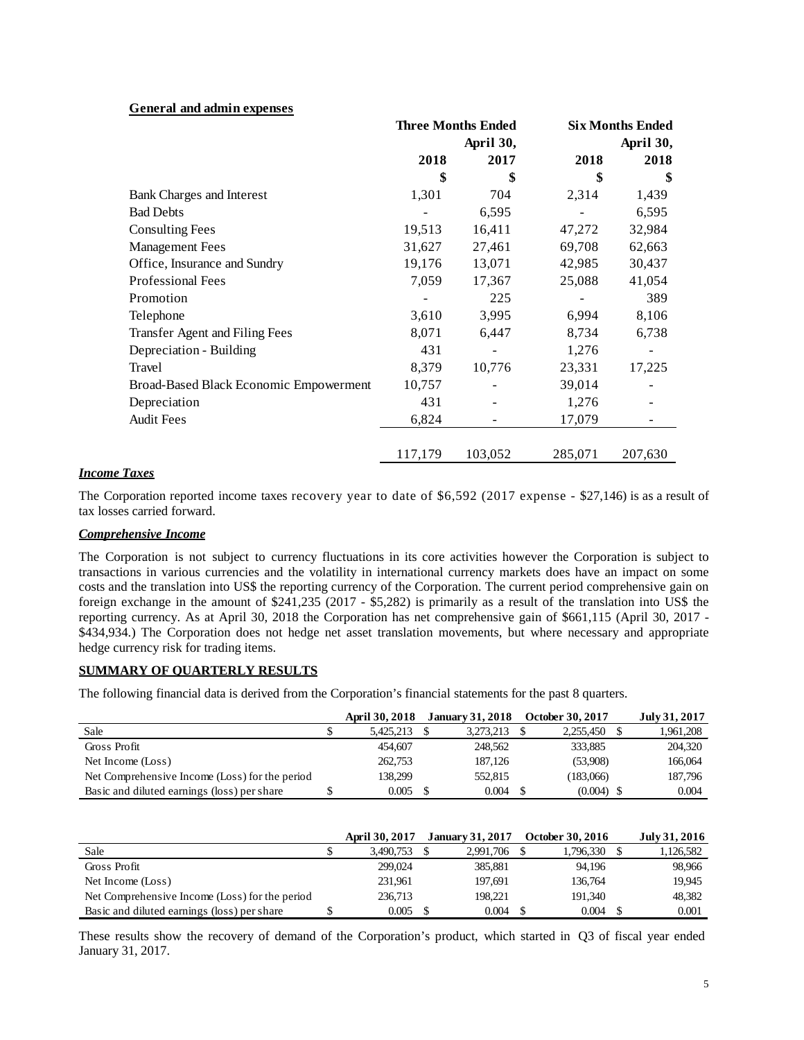|  | General and admin expenses |  |  |  |  |
|--|----------------------------|--|--|--|--|
|--|----------------------------|--|--|--|--|

|                                        | <b>Three Months Ended</b> |         | <b>Six Months Ended</b> |           |  |
|----------------------------------------|---------------------------|---------|-------------------------|-----------|--|
|                                        | April 30,                 |         |                         | April 30, |  |
|                                        | 2018                      | 2017    | 2018                    | 2018      |  |
|                                        | \$                        | \$      | \$                      | \$        |  |
| <b>Bank Charges and Interest</b>       | 1,301                     | 704     | 2,314                   | 1,439     |  |
| <b>Bad Debts</b>                       |                           | 6,595   |                         | 6,595     |  |
| <b>Consulting Fees</b>                 | 19,513                    | 16,411  | 47,272                  | 32,984    |  |
| <b>Management Fees</b>                 | 31,627                    | 27,461  | 69,708                  | 62,663    |  |
| Office, Insurance and Sundry           | 19,176                    | 13,071  | 42,985                  | 30,437    |  |
| Professional Fees                      | 7,059                     | 17,367  | 25,088                  | 41,054    |  |
| Promotion                              |                           | 225     |                         | 389       |  |
| Telephone                              | 3,610                     | 3,995   | 6,994                   | 8,106     |  |
| Transfer Agent and Filing Fees         | 8,071                     | 6,447   | 8,734                   | 6,738     |  |
| Depreciation - Building                | 431                       | -       | 1,276                   |           |  |
| Travel                                 | 8,379                     | 10,776  | 23,331                  | 17,225    |  |
| Broad-Based Black Economic Empowerment | 10,757                    |         | 39,014                  |           |  |
| Depreciation                           | 431                       |         | 1,276                   |           |  |
| <b>Audit Fees</b>                      | 6,824                     |         | 17,079                  |           |  |
|                                        |                           |         |                         |           |  |
|                                        | 117,179                   | 103,052 | 285,071                 | 207,630   |  |

## *Income Taxes*

The Corporation reported income taxes recovery year to date of \$6,592 (2017 expense - \$27,146) is as a result of tax losses carried forward.

## *Comprehensive Income*

The Corporation is not subject to currency fluctuations in its core activities however the Corporation is subject to transactions in various currencies and the volatility in international currency markets does have an impact on some costs and the translation into US\$ the reporting currency of the Corporation. The current period comprehensive gain on foreign exchange in the amount of \$241,235 (2017 - \$5,282) is primarily as a result of the translation into US\$ the reporting currency. As at April 30, 2018 the Corporation has net comprehensive gain of \$661,115 (April 30, 2017 - \$434,934.) The Corporation does not hedge net asset translation movements, but where necessary and appropriate hedge currency risk for trading items.

## **SUMMARY OF QUARTERLY RESULTS**

The following financial data is derived from the Corporation's financial statements for the past 8 quarters.

|                                                | <b>April 30, 2018</b> | <b>January 31, 2018</b> | October 30, 2017 | July 31, 2017 |
|------------------------------------------------|-----------------------|-------------------------|------------------|---------------|
| Sale                                           | 5.425.213             | 3.273.213               | 2.255.450        | 1,961,208     |
| Gross Profit                                   | 454,607               | 248,562                 | 333,885          | 204,320       |
| Net Income (Loss)                              | 262,753               | 187,126                 | (53.908)         | 166,064       |
| Net Comprehensive Income (Loss) for the period | 138.299               | 552,815                 | (183,066)        | 187,796       |
| Basic and diluted earnings (loss) per share    | 0.005                 | 0.004                   | (0.004)          | 0.004         |

|                                                | <b>April 30, 2017</b> | <b>January 31, 2017</b> | October 30, 2016 | July 31, 2016 |
|------------------------------------------------|-----------------------|-------------------------|------------------|---------------|
| Sale                                           | 3.490.753             | 2.991.706               | 1.796.330        | 1,126,582     |
| Gross Profit                                   | 299,024               | 385,881                 | 94.196           | 98.966        |
| Net Income (Loss)                              | 231,961               | 197.691                 | 136,764          | 19.945        |
| Net Comprehensive Income (Loss) for the period | 236,713               | 198.221                 | 191.340          | 48.382        |
| Basic and diluted earnings (loss) per share    | 0.005                 | 0.004                   | 0.004            | 0.001         |

These results show the recovery of demand of the Corporation's product, which started in Q3 of fiscal year ended January 31, 2017.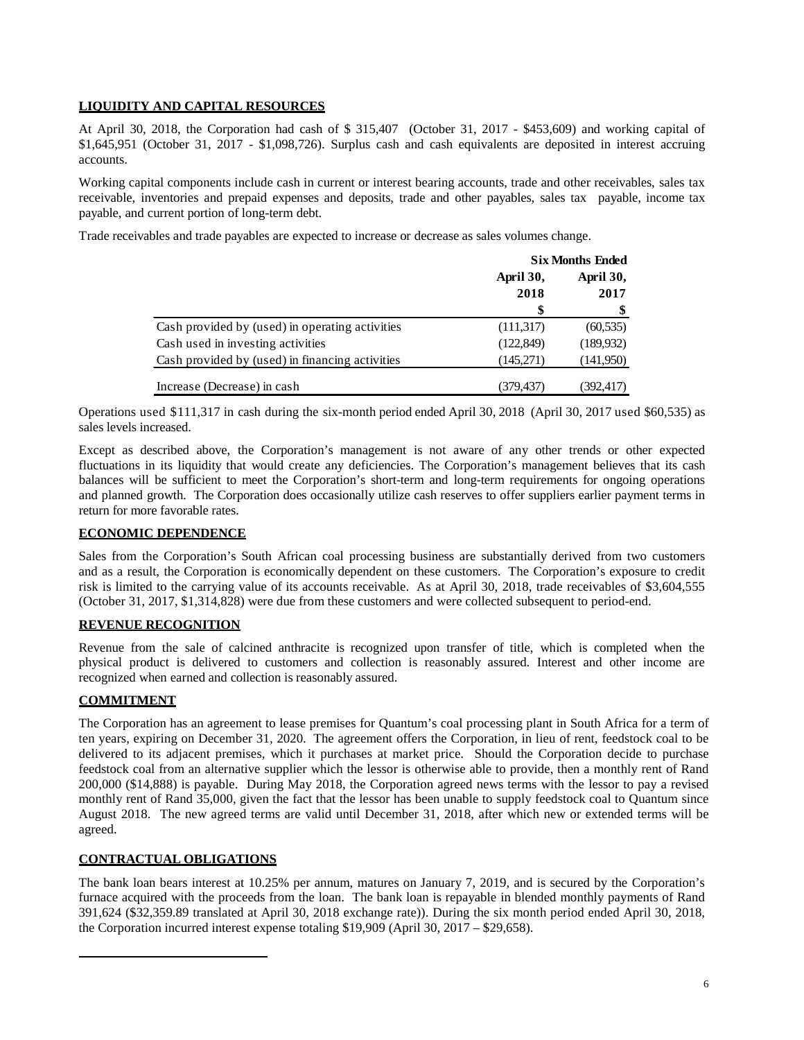# **LIQUIDITY AND CAPITAL RESOURCES**

At April 30, 2018, the Corporation had cash of \$ 315,407 (October 31, 2017 - \$453,609) and working capital of \$1,645,951 (October 31, 2017 - \$1,098,726). Surplus cash and cash equivalents are deposited in interest accruing accounts.

Working capital components include cash in current or interest bearing accounts, trade and other receivables, sales tax receivable, inventories and prepaid expenses and deposits, trade and other payables, sales tax payable, income tax payable, and current portion of long-term debt.

Trade receivables and trade payables are expected to increase or decrease as sales volumes change.

|                                                 | <b>Six Months Ended</b> |            |  |
|-------------------------------------------------|-------------------------|------------|--|
|                                                 | April 30,<br>April 30,  |            |  |
|                                                 | 2018                    | 2017       |  |
|                                                 | \$                      |            |  |
| Cash provided by (used) in operating activities | (111, 317)              | (60, 535)  |  |
| Cash used in investing activities               | (122, 849)              | (189, 932) |  |
| Cash provided by (used) in financing activities | (145,271)               | (141,950)  |  |
| Increase (Decrease) in cash                     | (379, 437)              | (392,417)  |  |

Operations used \$111,317 in cash during the six-month period ended April 30, 2018 (April 30, 2017 used \$60,535) as sales levels increased.

Except as described above, the Corporation's management is not aware of any other trends or other expected fluctuations in its liquidity that would create any deficiencies. The Corporation's management believes that its cash balances will be sufficient to meet the Corporation's short-term and long-term requirements for ongoing operations and planned growth. The Corporation does occasionally utilize cash reserves to offer suppliers earlier payment terms in return for more favorable rates.

## **ECONOMIC DEPENDENCE**

Sales from the Corporation's South African coal processing business are substantially derived from two customers and as a result, the Corporation is economically dependent on these customers. The Corporation's exposure to credit risk is limited to the carrying value of its accounts receivable. As at April 30, 2018, trade receivables of \$3,604,555 (October 31, 2017, \$1,314,828) were due from these customers and were collected subsequent to period-end.

## **REVENUE RECOGNITION**

Revenue from the sale of calcined anthracite is recognized upon transfer of title, which is completed when the physical product is delivered to customers and collection is reasonably assured. Interest and other income are recognized when earned and collection is reasonably assured.

## **COMMITMENT**

The Corporation has an agreement to lease premises for Quantum's coal processing plant in South Africa for a term of ten years, expiring on December 31, 2020. The agreement offers the Corporation, in lieu of rent, feedstock coal to be delivered to its adjacent premises, which it purchases at market price. Should the Corporation decide to purchase feedstock coal from an alternative supplier which the lessor is otherwise able to provide, then a monthly rent of Rand 200,000 (\$14,888) is payable. During May 2018, the Corporation agreed news terms with the lessor to pay a revised monthly rent of Rand 35,000, given the fact that the lessor has been unable to supply feedstock coal to Quantum since August 2018. The new agreed terms are valid until December 31, 2018, after which new or extended terms will be agreed.

## **CONTRACTUAL OBLIGATIONS**

The bank loan bears interest at 10.25% per annum, matures on January 7, 2019, and is secured by the Corporation's furnace acquired with the proceeds from the loan. The bank loan is repayable in blended monthly payments of Rand 391,624 (\$32,359.89 translated at April 30, 2018 exchange rate)). During the six month period ended April 30, 2018, the Corporation incurred interest expense totaling \$19,909 (April 30, 2017 – \$29,658).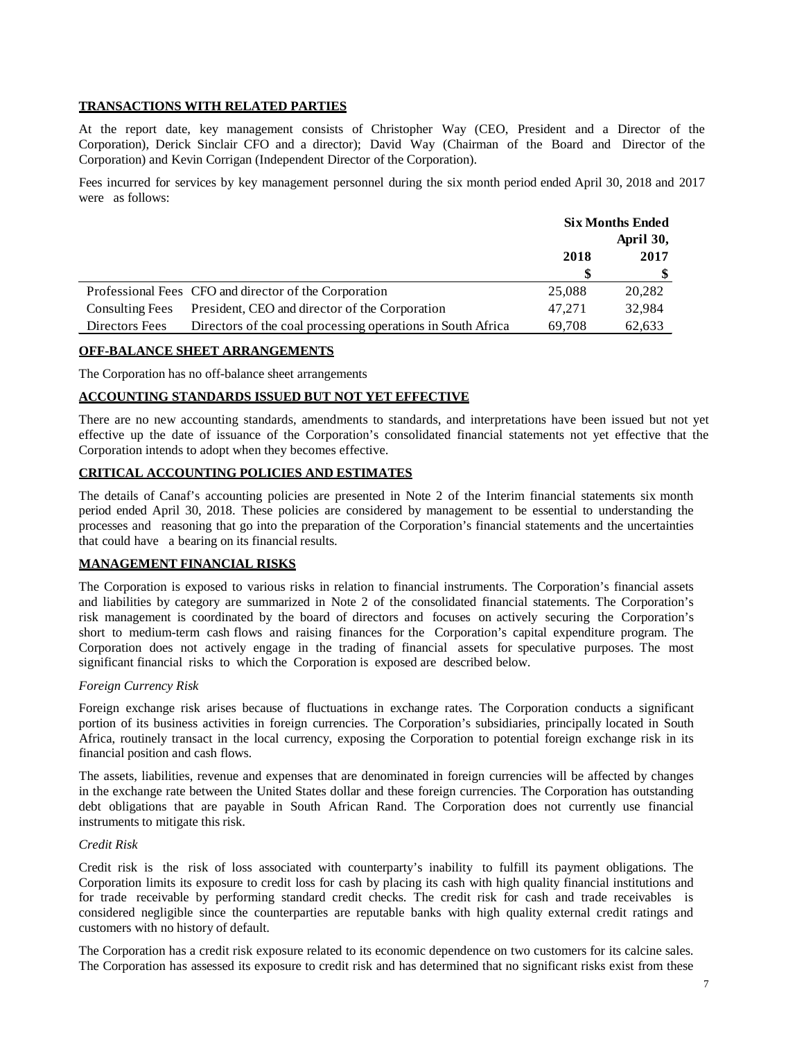### **TRANSACTIONS WITH RELATED PARTIES**

At the report date, key management consists of Christopher Way (CEO, President and a Director of the Corporation), Derick Sinclair CFO and a director); David Way (Chairman of the Board and Director of the Corporation) and Kevin Corrigan (Independent Director of the Corporation).

Fees incurred for services by key management personnel during the six month period ended April 30, 2018 and 2017 were as follows:

|                        |                                                             | <b>Six Months Ended</b> |           |
|------------------------|-------------------------------------------------------------|-------------------------|-----------|
|                        |                                                             |                         | April 30, |
|                        |                                                             | 2018                    | 2017      |
|                        |                                                             |                         |           |
|                        | Professional Fees CFO and director of the Corporation       | 25,088                  | 20,282    |
| <b>Consulting Fees</b> | President, CEO and director of the Corporation              | 47.271                  | 32,984    |
| Directors Fees         | Directors of the coal processing operations in South Africa | 69.708                  | 62,633    |

## **OFF-BALANCE SHEET ARRANGEMENTS**

The Corporation has no off-balance sheet arrangements

## **ACCOUNTING STANDARDS ISSUED BUT NOT YET EFFECTIVE**

There are no new accounting standards, amendments to standards, and interpretations have been issued but not yet effective up the date of issuance of the Corporation's consolidated financial statements not yet effective that the Corporation intends to adopt when they becomes effective.

# **CRITICAL ACCOUNTING POLICIES AND ESTIMATES**

The details of Canaf's accounting policies are presented in Note 2 of the Interim financial statements six month period ended April 30, 2018. These policies are considered by management to be essential to understanding the processes and reasoning that go into the preparation of the Corporation's financial statements and the uncertainties that could have a bearing on its financial results.

## **MANAGEMENT FINANCIAL RISKS**

The Corporation is exposed to various risks in relation to financial instruments. The Corporation's financial assets and liabilities by category are summarized in Note 2 of the consolidated financial statements. The Corporation's risk management is coordinated by the board of directors and focuses on actively securing the Corporation's short to medium-term cash flows and raising finances for the Corporation's capital expenditure program. The Corporation does not actively engage in the trading of financial assets for speculative purposes. The most significant financial risks to which the Corporation is exposed are described below.

# *Foreign Currency Risk*

Foreign exchange risk arises because of fluctuations in exchange rates. The Corporation conducts a significant portion of its business activities in foreign currencies. The Corporation's subsidiaries, principally located in South Africa, routinely transact in the local currency, exposing the Corporation to potential foreign exchange risk in its financial position and cash flows.

The assets, liabilities, revenue and expenses that are denominated in foreign currencies will be affected by changes in the exchange rate between the United States dollar and these foreign currencies. The Corporation has outstanding debt obligations that are payable in South African Rand. The Corporation does not currently use financial instruments to mitigate this risk.

### *Credit Risk*

Credit risk is the risk of loss associated with counterparty's inability to fulfill its payment obligations. The Corporation limits its exposure to credit loss for cash by placing its cash with high quality financial institutions and for trade receivable by performing standard credit checks. The credit risk for cash and trade receivables is considered negligible since the counterparties are reputable banks with high quality external credit ratings and customers with no history of default.

The Corporation has a credit risk exposure related to its economic dependence on two customers for its calcine sales. The Corporation has assessed its exposure to credit risk and has determined that no significant risks exist from these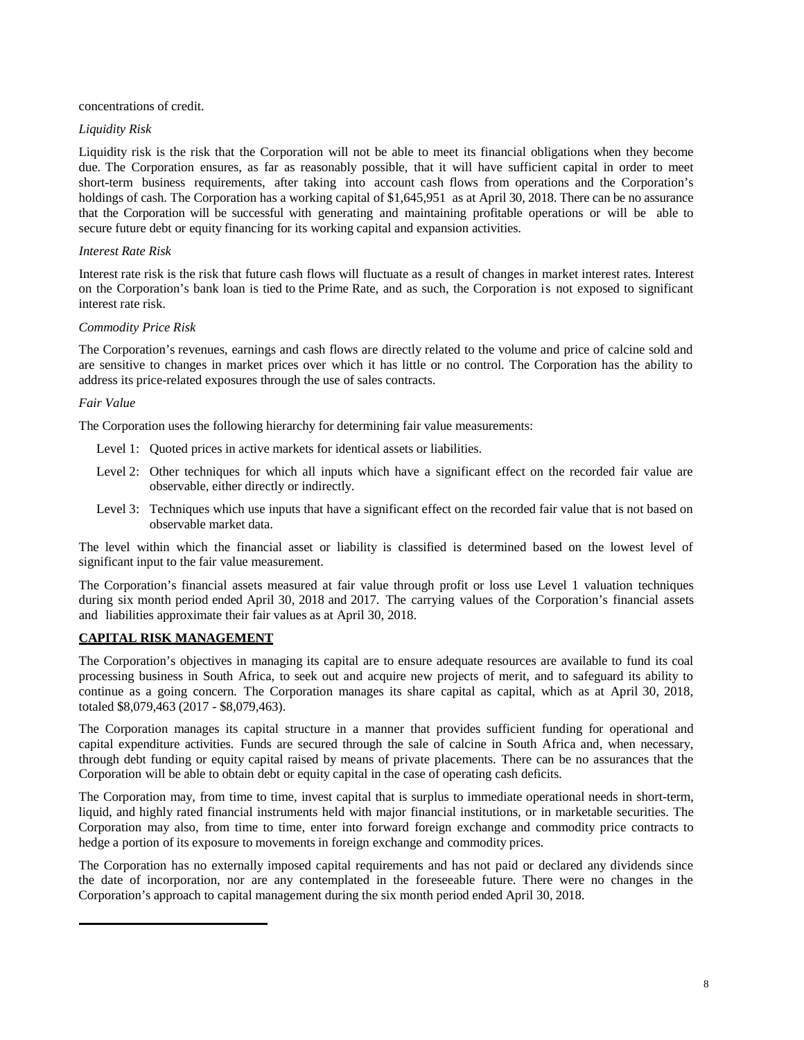#### concentrations of credit.

#### *Liquidity Risk*

Liquidity risk is the risk that the Corporation will not be able to meet its financial obligations when they become due. The Corporation ensures, as far as reasonably possible, that it will have sufficient capital in order to meet short-term business requirements, after taking into account cash flows from operations and the Corporation's holdings of cash. The Corporation has a working capital of \$1,645,951 as at April 30, 2018. There can be no assurance that the Corporation will be successful with generating and maintaining profitable operations or will be able to secure future debt or equity financing for its working capital and expansion activities.

#### *Interest Rate Risk*

Interest rate risk is the risk that future cash flows will fluctuate as a result of changes in market interest rates. Interest on the Corporation's bank loan is tied to the Prime Rate, and as such, the Corporation is not exposed to significant interest rate risk.

#### *Commodity Price Risk*

The Corporation's revenues, earnings and cash flows are directly related to the volume and price of calcine sold and are sensitive to changes in market prices over which it has little or no control. The Corporation has the ability to address its price-related exposures through the use of sales contracts.

#### *Fair Value*

The Corporation uses the following hierarchy for determining fair value measurements:

- Level 1: Quoted prices in active markets for identical assets or liabilities.
- Level 2: Other techniques for which all inputs which have a significant effect on the recorded fair value are observable, either directly or indirectly.
- Level 3: Techniques which use inputs that have a significant effect on the recorded fair value that is not based on observable market data.

The level within which the financial asset or liability is classified is determined based on the lowest level of significant input to the fair value measurement.

The Corporation's financial assets measured at fair value through profit or loss use Level 1 valuation techniques during six month period ended April 30, 2018 and 2017. The carrying values of the Corporation's financial assets and liabilities approximate their fair values as at April 30, 2018.

#### **CAPITAL RISK MANAGEMENT**

The Corporation's objectives in managing its capital are to ensure adequate resources are available to fund its coal processing business in South Africa, to seek out and acquire new projects of merit, and to safeguard its ability to continue as a going concern. The Corporation manages its share capital as capital, which as at April 30, 2018, totaled \$8,079,463 (2017 - \$8,079,463).

The Corporation manages its capital structure in a manner that provides sufficient funding for operational and capital expenditure activities. Funds are secured through the sale of calcine in South Africa and, when necessary, through debt funding or equity capital raised by means of private placements. There can be no assurances that the Corporation will be able to obtain debt or equity capital in the case of operating cash deficits.

The Corporation may, from time to time, invest capital that is surplus to immediate operational needs in short-term, liquid, and highly rated financial instruments held with major financial institutions, or in marketable securities. The Corporation may also, from time to time, enter into forward foreign exchange and commodity price contracts to hedge a portion of its exposure to movements in foreign exchange and commodity prices.

The Corporation has no externally imposed capital requirements and has not paid or declared any dividends since the date of incorporation, nor are any contemplated in the foreseeable future. There were no changes in the Corporation's approach to capital management during the six month period ended April 30, 2018.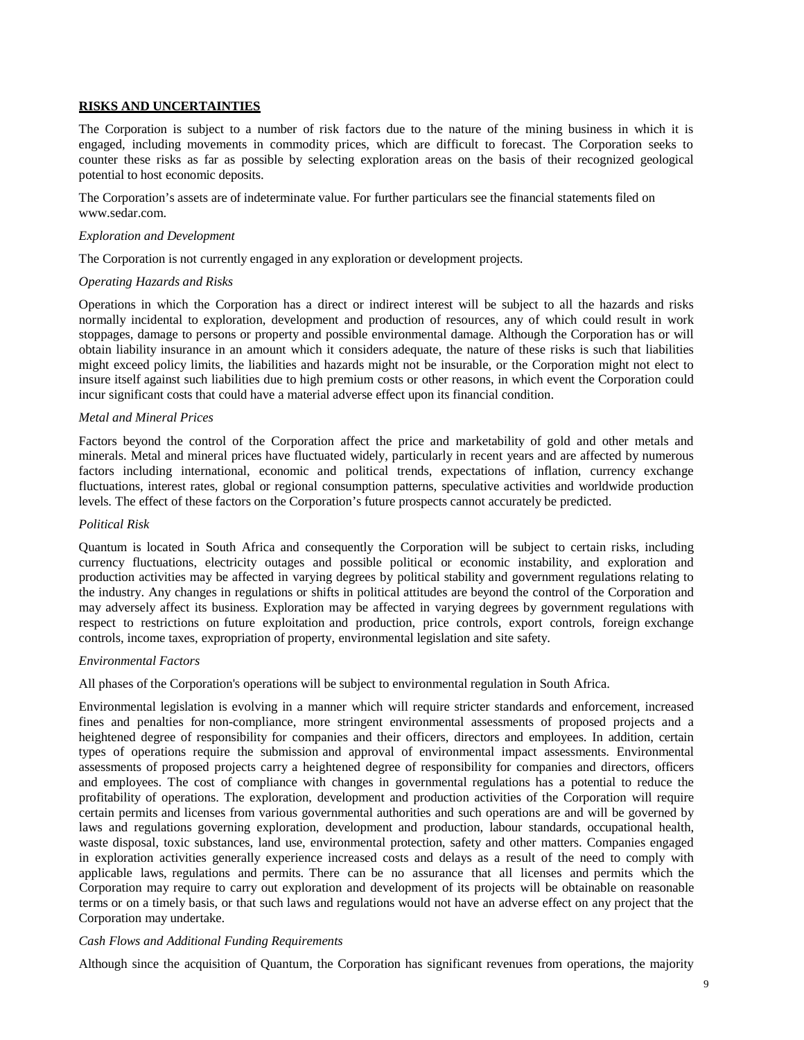#### **RISKS AND UNCERTAINTIES**

The Corporation is subject to a number of risk factors due to the nature of the mining business in which it is engaged, including movements in commodity prices, which are difficult to forecast. The Corporation seeks to counter these risks as far as possible by selecting exploration areas on the basis of their recognized geological potential to host economic deposits.

The Corporation's assets are of indeterminate value. For further particulars see the financial statements filed o[n](http://www.sedar.com/) [www.sedar.com.](http://www.sedar.com/)

#### *Exploration and Development*

The Corporation is not currently engaged in any exploration or development projects.

#### *Operating Hazards and Risks*

Operations in which the Corporation has a direct or indirect interest will be subject to all the hazards and risks normally incidental to exploration, development and production of resources, any of which could result in work stoppages, damage to persons or property and possible environmental damage. Although the Corporation has or will obtain liability insurance in an amount which it considers adequate, the nature of these risks is such that liabilities might exceed policy limits, the liabilities and hazards might not be insurable, or the Corporation might not elect to insure itself against such liabilities due to high premium costs or other reasons, in which event the Corporation could incur significant costs that could have a material adverse effect upon its financial condition.

#### *Metal and Mineral Prices*

Factors beyond the control of the Corporation affect the price and marketability of gold and other metals and minerals. Metal and mineral prices have fluctuated widely, particularly in recent years and are affected by numerous factors including international, economic and political trends, expectations of inflation, currency exchange fluctuations, interest rates, global or regional consumption patterns, speculative activities and worldwide production levels. The effect of these factors on the Corporation's future prospects cannot accurately be predicted.

#### *Political Risk*

Quantum is located in South Africa and consequently the Corporation will be subject to certain risks, including currency fluctuations, electricity outages and possible political or economic instability, and exploration and production activities may be affected in varying degrees by political stability and government regulations relating to the industry. Any changes in regulations or shifts in political attitudes are beyond the control of the Corporation and may adversely affect its business. Exploration may be affected in varying degrees by government regulations with respect to restrictions on future exploitation and production, price controls, export controls, foreign exchange controls, income taxes, expropriation of property, environmental legislation and site safety.

#### *Environmental Factors*

All phases of the Corporation's operations will be subject to environmental regulation in South Africa.

Environmental legislation is evolving in a manner which will require stricter standards and enforcement, increased fines and penalties for non-compliance, more stringent environmental assessments of proposed projects and a heightened degree of responsibility for companies and their officers, directors and employees. In addition, certain types of operations require the submission and approval of environmental impact assessments. Environmental assessments of proposed projects carry a heightened degree of responsibility for companies and directors, officers and employees. The cost of compliance with changes in governmental regulations has a potential to reduce the profitability of operations. The exploration, development and production activities of the Corporation will require certain permits and licenses from various governmental authorities and such operations are and will be governed by laws and regulations governing exploration, development and production, labour standards, occupational health, waste disposal, toxic substances, land use, environmental protection, safety and other matters. Companies engaged in exploration activities generally experience increased costs and delays as a result of the need to comply with applicable laws, regulations and permits. There can be no assurance that all licenses and permits which the Corporation may require to carry out exploration and development of its projects will be obtainable on reasonable terms or on a timely basis, or that such laws and regulations would not have an adverse effect on any project that the Corporation may undertake.

#### *Cash Flows and Additional Funding Requirements*

Although since the acquisition of Quantum, the Corporation has significant revenues from operations, the majority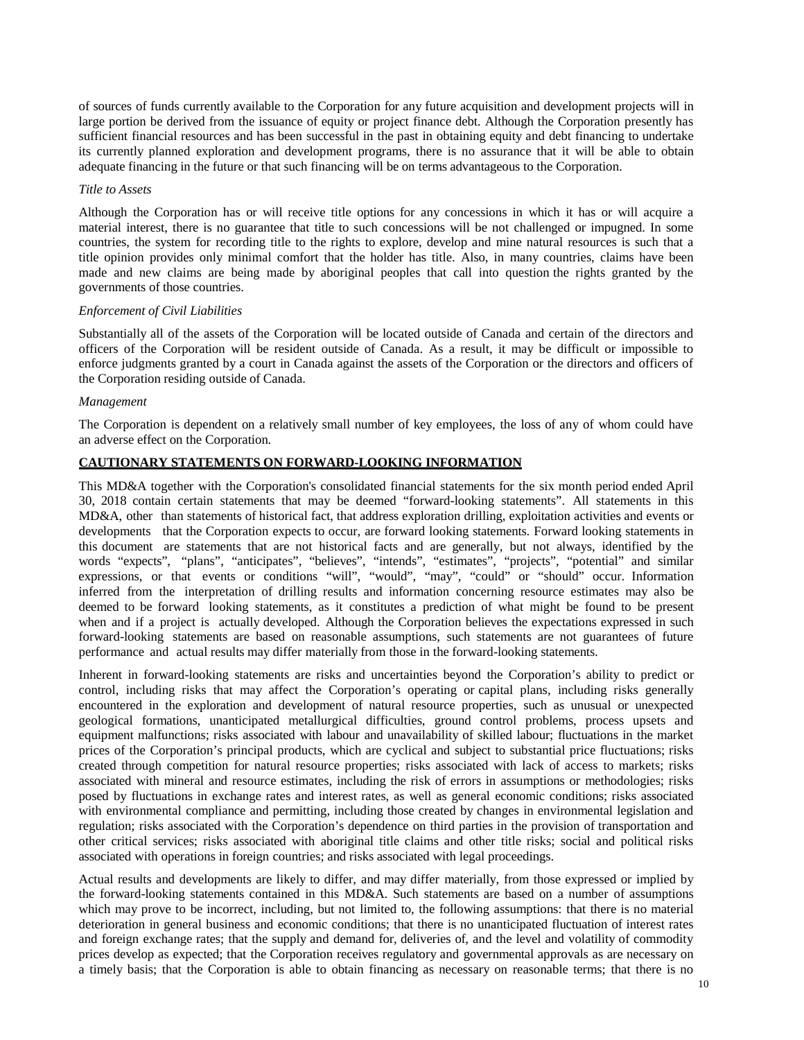of sources of funds currently available to the Corporation for any future acquisition and development projects will in large portion be derived from the issuance of equity or project finance debt. Although the Corporation presently has sufficient financial resources and has been successful in the past in obtaining equity and debt financing to undertake its currently planned exploration and development programs, there is no assurance that it will be able to obtain adequate financing in the future or that such financing will be on terms advantageous to the Corporation.

#### *Title to Assets*

Although the Corporation has or will receive title options for any concessions in which it has or will acquire a material interest, there is no guarantee that title to such concessions will be not challenged or impugned. In some countries, the system for recording title to the rights to explore, develop and mine natural resources is such that a title opinion provides only minimal comfort that the holder has title. Also, in many countries, claims have been made and new claims are being made by aboriginal peoples that call into question the rights granted by the governments of those countries.

#### *Enforcement of Civil Liabilities*

Substantially all of the assets of the Corporation will be located outside of Canada and certain of the directors and officers of the Corporation will be resident outside of Canada. As a result, it may be difficult or impossible to enforce judgments granted by a court in Canada against the assets of the Corporation or the directors and officers of the Corporation residing outside of Canada.

#### *Management*

The Corporation is dependent on a relatively small number of key employees, the loss of any of whom could have an adverse effect on the Corporation.

# **CAUTIONARY STATEMENTS ON FORWARD-LOOKING INFORMATION**

This MD&A together with the Corporation's consolidated financial statements for the six month period ended April 30, 2018 contain certain statements that may be deemed "forward-looking statements". All statements in this MD&A, other than statements of historical fact, that address exploration drilling, exploitation activities and events or developments that the Corporation expects to occur, are forward looking statements. Forward looking statements in this document are statements that are not historical facts and are generally, but not always, identified by the words "expects", "plans", "anticipates", "believes", "intends", "estimates", "projects", "potential" and similar expressions, or that events or conditions "will", "would", "may", "could" or "should" occur. Information inferred from the interpretation of drilling results and information concerning resource estimates may also be deemed to be forward looking statements, as it constitutes a prediction of what might be found to be present when and if a project is actually developed. Although the Corporation believes the expectations expressed in such forward-looking statements are based on reasonable assumptions, such statements are not guarantees of future performance and actual results may differ materially from those in the forward-looking statements.

Inherent in forward-looking statements are risks and uncertainties beyond the Corporation's ability to predict or control, including risks that may affect the Corporation's operating or capital plans, including risks generally encountered in the exploration and development of natural resource properties, such as unusual or unexpected geological formations, unanticipated metallurgical difficulties, ground control problems, process upsets and equipment malfunctions; risks associated with labour and unavailability of skilled labour; fluctuations in the market prices of the Corporation's principal products, which are cyclical and subject to substantial price fluctuations; risks created through competition for natural resource properties; risks associated with lack of access to markets; risks associated with mineral and resource estimates, including the risk of errors in assumptions or methodologies; risks posed by fluctuations in exchange rates and interest rates, as well as general economic conditions; risks associated with environmental compliance and permitting, including those created by changes in environmental legislation and regulation; risks associated with the Corporation's dependence on third parties in the provision of transportation and other critical services; risks associated with aboriginal title claims and other title risks; social and political risks associated with operations in foreign countries; and risks associated with legal proceedings.

Actual results and developments are likely to differ, and may differ materially, from those expressed or implied by the forward-looking statements contained in this MD&A. Such statements are based on a number of assumptions which may prove to be incorrect, including, but not limited to, the following assumptions: that there is no material deterioration in general business and economic conditions; that there is no unanticipated fluctuation of interest rates and foreign exchange rates; that the supply and demand for, deliveries of, and the level and volatility of commodity prices develop as expected; that the Corporation receives regulatory and governmental approvals as are necessary on a timely basis; that the Corporation is able to obtain financing as necessary on reasonable terms; that there is no